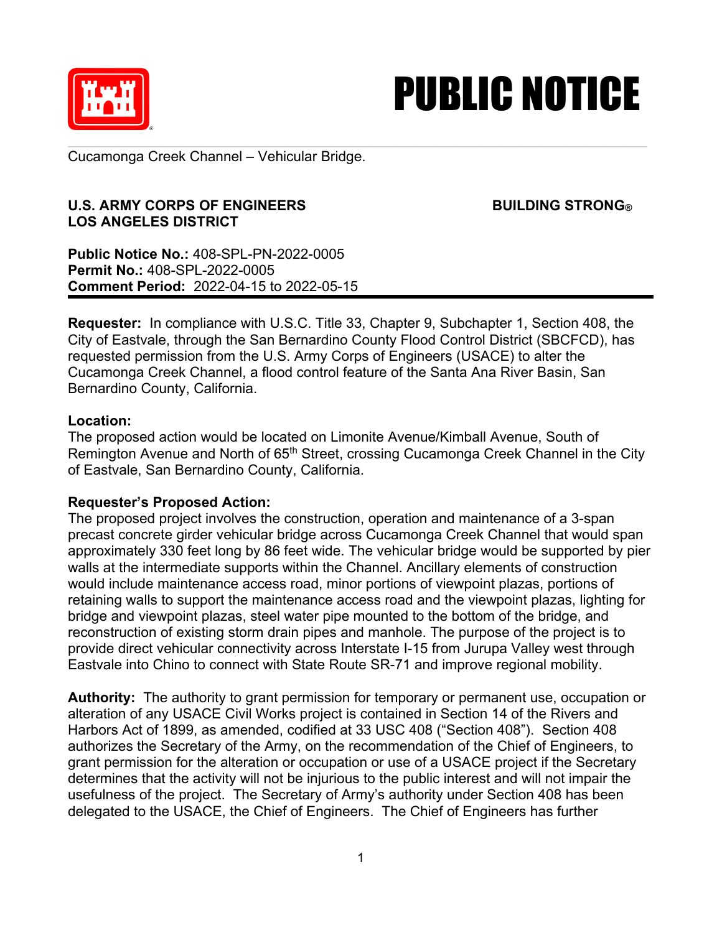



Cucamonga Creek Channel – Vehicular Bridge.

## **U.S. ARMY CORPS OF ENGINEERS BUILDING STRONG® LOS ANGELES DISTRICT**

**Public Notice No.:** 408-SPL-PN-2022-0005 **Permit No.:** 408-SPL-2022-0005 **Comment Period:** 2022-04-15 to 2022-05-15

**Requester:** In compliance with U.S.C. Title 33, Chapter 9, Subchapter 1, Section 408, the City of Eastvale, through the San Bernardino County Flood Control District (SBCFCD), has requested permission from the U.S. Army Corps of Engineers (USACE) to alter the Cucamonga Creek Channel, a flood control feature of the Santa Ana River Basin, San Bernardino County, California.

## **Location:**

The proposed action would be located on Limonite Avenue/Kimball Avenue, South of Remington Avenue and North of 65<sup>th</sup> Street, crossing Cucamonga Creek Channel in the City of Eastvale, San Bernardino County, California.

## **Requester's Proposed Action:**

The proposed project involves the construction, operation and maintenance of a 3-span precast concrete girder vehicular bridge across Cucamonga Creek Channel that would span approximately 330 feet long by 86 feet wide. The vehicular bridge would be supported by pier walls at the intermediate supports within the Channel. Ancillary elements of construction would include maintenance access road, minor portions of viewpoint plazas, portions of retaining walls to support the maintenance access road and the viewpoint plazas, lighting for bridge and viewpoint plazas, steel water pipe mounted to the bottom of the bridge, and reconstruction of existing storm drain pipes and manhole. The purpose of the project is to provide direct vehicular connectivity across Interstate I-15 from Jurupa Valley west through Eastvale into Chino to connect with State Route SR-71 and improve regional mobility.

**Authority:** The authority to grant permission for temporary or permanent use, occupation or alteration of any USACE Civil Works project is contained in Section 14 of the Rivers and Harbors Act of 1899, as amended, codified at 33 USC 408 ("Section 408"). Section 408 authorizes the Secretary of the Army, on the recommendation of the Chief of Engineers, to grant permission for the alteration or occupation or use of a USACE project if the Secretary determines that the activity will not be injurious to the public interest and will not impair the usefulness of the project. The Secretary of Army's authority under Section 408 has been delegated to the USACE, the Chief of Engineers. The Chief of Engineers has further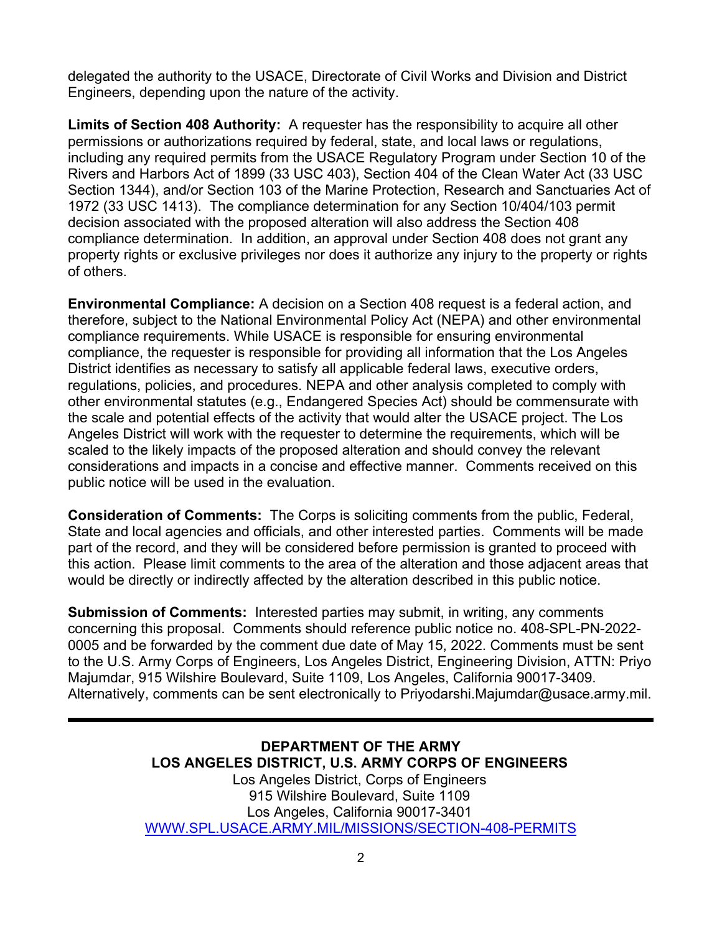delegated the authority to the USACE, Directorate of Civil Works and Division and District Engineers, depending upon the nature of the activity.

**Limits of Section 408 Authority:** A requester has the responsibility to acquire all other permissions or authorizations required by federal, state, and local laws or regulations, including any required permits from the USACE Regulatory Program under Section 10 of the Rivers and Harbors Act of 1899 (33 USC 403), Section 404 of the Clean Water Act (33 USC Section 1344), and/or Section 103 of the Marine Protection, Research and Sanctuaries Act of 1972 (33 USC 1413). The compliance determination for any Section 10/404/103 permit decision associated with the proposed alteration will also address the Section 408 compliance determination. In addition, an approval under Section 408 does not grant any property rights or exclusive privileges nor does it authorize any injury to the property or rights of others.

**Environmental Compliance:** A decision on a Section 408 request is a federal action, and therefore, subject to the National Environmental Policy Act (NEPA) and other environmental compliance requirements. While USACE is responsible for ensuring environmental compliance, the requester is responsible for providing all information that the Los Angeles District identifies as necessary to satisfy all applicable federal laws, executive orders, regulations, policies, and procedures. NEPA and other analysis completed to comply with other environmental statutes (e.g., Endangered Species Act) should be commensurate with the scale and potential effects of the activity that would alter the USACE project. The Los Angeles District will work with the requester to determine the requirements, which will be scaled to the likely impacts of the proposed alteration and should convey the relevant considerations and impacts in a concise and effective manner. Comments received on this public notice will be used in the evaluation.

**Consideration of Comments:** The Corps is soliciting comments from the public, Federal, State and local agencies and officials, and other interested parties. Comments will be made part of the record, and they will be considered before permission is granted to proceed with this action. Please limit comments to the area of the alteration and those adjacent areas that would be directly or indirectly affected by the alteration described in this public notice.

**Submission of Comments:** Interested parties may submit, in writing, any comments concerning this proposal. Comments should reference public notice no. 408-SPL-PN-2022- 0005 and be forwarded by the comment due date of May 15, 2022. Comments must be sent to the U.S. Army Corps of Engineers, Los Angeles District, Engineering Division, ATTN: Priyo Majumdar, 915 Wilshire Boulevard, Suite 1109, Los Angeles, California 90017-3409. Alternatively, comments can be sent electronically to Priyodarshi.Majumdar@usace.army.mil.

> **DEPARTMENT OF THE ARMY LOS ANGELES DISTRICT, U.S. ARMY CORPS OF ENGINEERS** Los Angeles District, Corps of Engineers 915 Wilshire Boulevard, Suite 1109 Los Angeles, California 90017-3401 WWW.SPL.USACE.ARMY.MIL/MISSIONS/SECTION-408-PERMITS